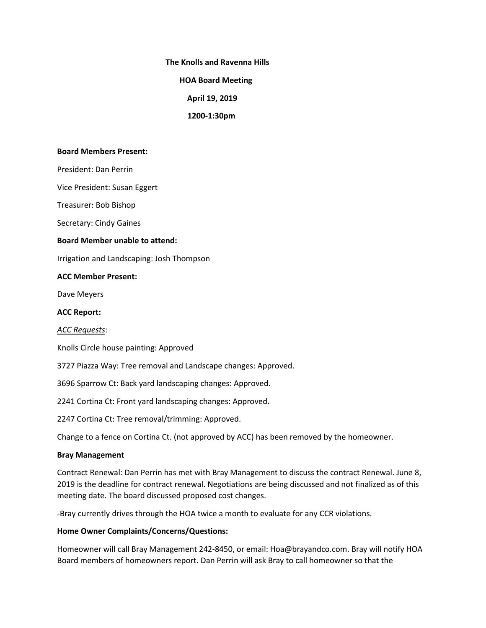**The Knolls and Ravenna Hills**

 **HOA Board Meeting**

 **April 19, 2019**

 **1200-1:30pm**

### **Board Members Present:**

President: Dan Perrin

Vice President: Susan Eggert

Treasurer: Bob Bishop

Secretary: Cindy Gaines

### **Board Member unable to attend:**

Irrigation and Landscaping: Josh Thompson

### **ACC Member Present:**

Dave Meyers

**ACC Report:**

#### *ACC Requests*:

Knolls Circle house painting: Approved

3727 Piazza Way: Tree removal and Landscape changes: Approved.

3696 Sparrow Ct: Back yard landscaping changes: Approved.

2241 Cortina Ct: Front yard landscaping changes: Approved.

2247 Cortina Ct: Tree removal/trimming: Approved.

Change to a fence on Cortina Ct. (not approved by ACC) has been removed by the homeowner.

# **Bray Management**

Contract Renewal: Dan Perrin has met with Bray Management to discuss the contract Renewal. June 8, 2019 is the deadline for contract renewal. Negotiations are being discussed and not finalized as of this meeting date. The board discussed proposed cost changes.

-Bray currently drives through the HOA twice a month to evaluate for any CCR violations.

#### **Home Owner Complaints/Concerns/Questions:**

Homeowner will call Bray Management 242-8450, or email: Hoa@brayandco.com. Bray will notify HOA Board members of homeowners report. Dan Perrin will ask Bray to call homeowner so that the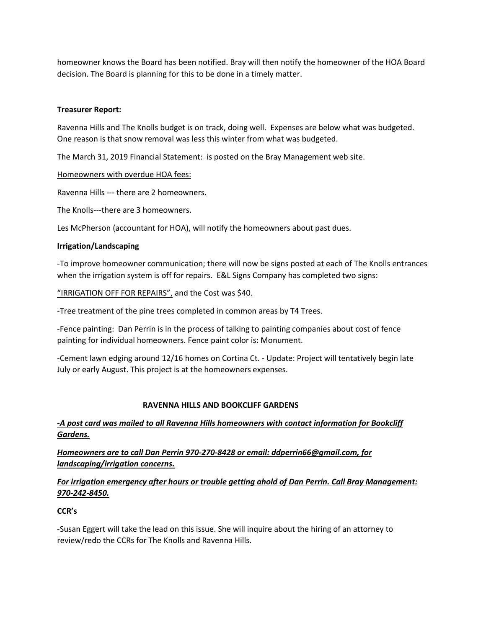homeowner knows the Board has been notified. Bray will then notify the homeowner of the HOA Board decision. The Board is planning for this to be done in a timely matter.

# **Treasurer Report:**

Ravenna Hills and The Knolls budget is on track, doing well. Expenses are below what was budgeted. One reason is that snow removal was less this winter from what was budgeted.

The March 31, 2019 Financial Statement: is posted on the Bray Management web site.

Homeowners with overdue HOA fees:

Ravenna Hills --- there are 2 homeowners.

The Knolls---there are 3 homeowners.

Les McPherson (accountant for HOA), will notify the homeowners about past dues.

# **Irrigation/Landscaping**

-To improve homeowner communication; there will now be signs posted at each of The Knolls entrances when the irrigation system is off for repairs. E&L Signs Company has completed two signs:

"IRRIGATION OFF FOR REPAIRS", and the Cost was \$40.

-Tree treatment of the pine trees completed in common areas by T4 Trees.

-Fence painting: Dan Perrin is in the process of talking to painting companies about cost of fence painting for individual homeowners. Fence paint color is: Monument.

-Cement lawn edging around 12/16 homes on Cortina Ct. - Update: Project will tentatively begin late July or early August. This project is at the homeowners expenses.

# **RAVENNA HILLS AND BOOKCLIFF GARDENS**

# *-A post card was mailed to all Ravenna Hills homeowners with contact information for Bookcliff Gardens.*

*Homeowners are to call Dan Perrin 970-270-8428 or email: [ddperrin66@gmail.com,](mailto:ddperrin66@gmail.com) for landscaping/irrigation concerns.*

# *For irrigation emergency after hours or trouble getting ahold of Dan Perrin. Call Bray Management: 970-242-8450.*

# **CCR's**

-Susan Eggert will take the lead on this issue. She will inquire about the hiring of an attorney to review/redo the CCRs for The Knolls and Ravenna Hills.